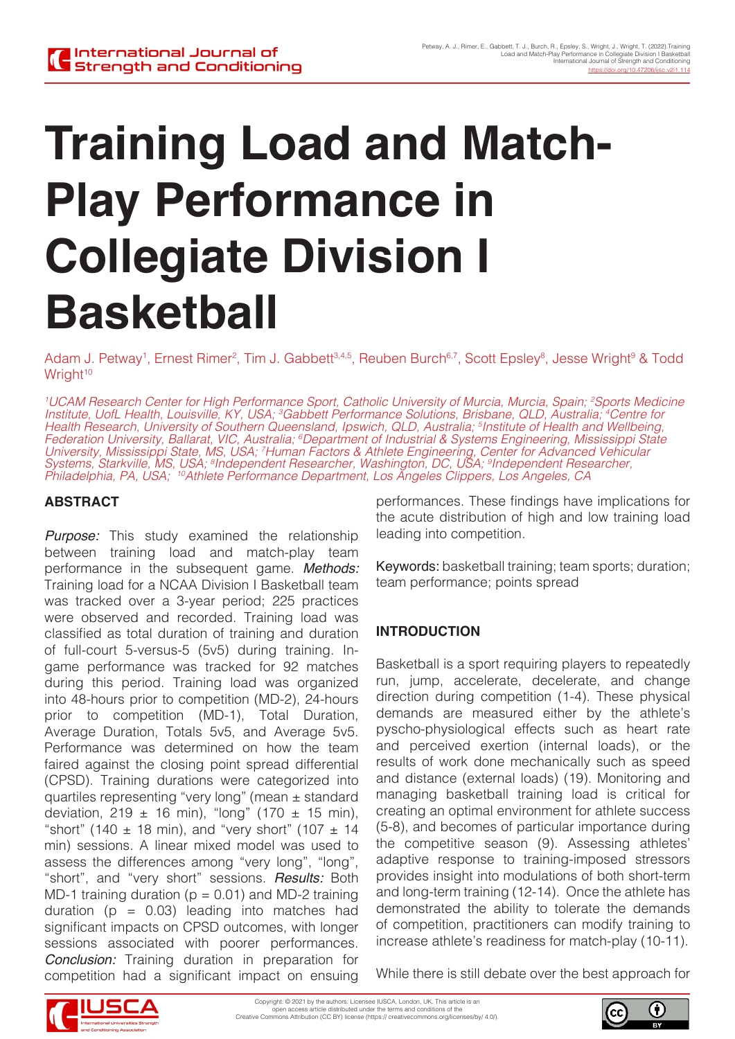# **Training Load and Match-Play Performance in Collegiate Division I Basketball**

Adam J. Petway<sup>1</sup>, Ernest Rimer<sup>2</sup>, Tim J. Gabbett<sup>3,4,5</sup>, Reuben Burch<sup>6,7</sup>, Scott Epsley<sup>8</sup>, Jesse Wright<sup>9</sup> & Todd Wright<sup>10</sup>

*1 UCAM Research Center for High Performance Sport, Catholic University of Murcia, Murcia, Spain; 2 Sports Medicine Institute, UofL Health, Louisville, KY, USA; 3 Gabbett Performance Solutions, Brisbane, QLD, Australia; 4 Centre for Health Research, University of Southern Queensland, Ipswich, QLD, Australia; 5 Institute of Health and Wellbeing, Federation University, Ballarat, VIC, Australia; 6 Department of Industrial & Systems Engineering, Mississippi State University, Mississippi State, MS, USA; 7 Human Factors & Athlete Engineering, Center for Advanced Vehicular Systems, Starkville, MS, USA; 8 Independent Researcher, Washington, DC, USA; 9 Independent Researcher, Philadelphia, PA, USA; 10Athlete Performance Department, Los Angeles Clippers, Los Angeles, CA*

# **ABSTRACT**

*Purpose:* This study examined the relationship between training load and match-play team performance in the subsequent game. *Methods:*  Training load for a NCAA Division I Basketball team was tracked over a 3-year period; 225 practices were observed and recorded. Training load was classified as total duration of training and duration of full-court 5-versus-5 (5v5) during training. Ingame performance was tracked for 92 matches during this period. Training load was organized into 48-hours prior to competition (MD-2), 24-hours prior to competition (MD-1), Total Duration, Average Duration, Totals 5v5, and Average 5v5. Performance was determined on how the team faired against the closing point spread differential (CPSD). Training durations were categorized into quartiles representing "very long" (mean ± standard deviation, 219  $\pm$  16 min), "long" (170  $\pm$  15 min), "short" (140  $\pm$  18 min), and "very short" (107  $\pm$  14 min) sessions. A linear mixed model was used to assess the differences among "very long", "long", "short", and "very short" sessions. *Results:* Both MD-1 training duration ( $p = 0.01$ ) and MD-2 training duration ( $p = 0.03$ ) leading into matches had significant impacts on CPSD outcomes, with longer sessions associated with poorer performances. *Conclusion:* Training duration in preparation for competition had a significant impact on ensuing

performances. These findings have implications for the acute distribution of high and low training load leading into competition.

Keywords: basketball training; team sports; duration; team performance; points spread

# **INTRODUCTION**

Basketball is a sport requiring players to repeatedly run, jump, accelerate, decelerate, and change direction during competition (1-4). These physical demands are measured either by the athlete's pyscho-physiological effects such as heart rate and perceived exertion (internal loads), or the results of work done mechanically such as speed and distance (external loads) (19). Monitoring and managing basketball training load is critical for creating an optimal environment for athlete success (5-8), and becomes of particular importance during the competitive season (9). Assessing athletes' adaptive response to training-imposed stressors provides insight into modulations of both short-term and long-term training (12-14). Once the athlete has demonstrated the ability to tolerate the demands of competition, practitioners can modify training to increase athlete's readiness for match-play (10-11).

While there is still debate over the best approach for



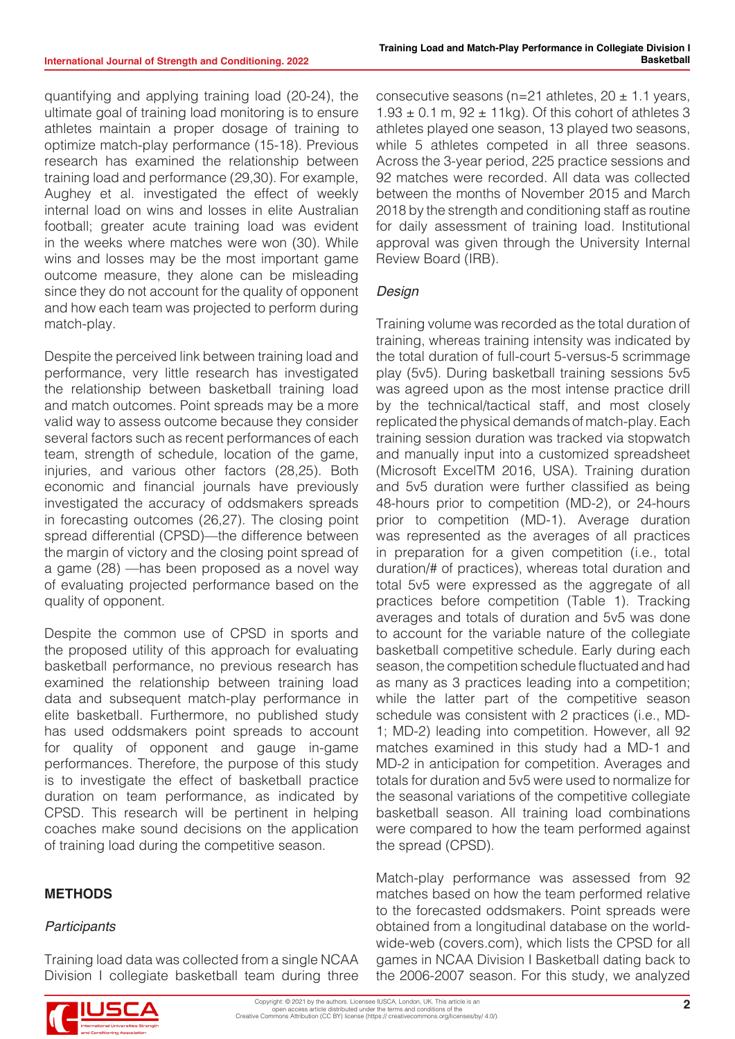quantifying and applying training load (20-24), the ultimate goal of training load monitoring is to ensure athletes maintain a proper dosage of training to optimize match-play performance (15-18). Previous research has examined the relationship between training load and performance (29,30). For example, Aughey et al. investigated the effect of weekly internal load on wins and losses in elite Australian football; greater acute training load was evident in the weeks where matches were won (30). While wins and losses may be the most important game outcome measure, they alone can be misleading since they do not account for the quality of opponent and how each team was projected to perform during match-play.

Despite the perceived link between training load and performance, very little research has investigated the relationship between basketball training load and match outcomes. Point spreads may be a more valid way to assess outcome because they consider several factors such as recent performances of each team, strength of schedule, location of the game, injuries, and various other factors (28,25). Both economic and financial journals have previously investigated the accuracy of oddsmakers spreads in forecasting outcomes (26,27). The closing point spread differential (CPSD)—the difference between the margin of victory and the closing point spread of a game (28) —has been proposed as a novel way of evaluating projected performance based on the quality of opponent.

Despite the common use of CPSD in sports and the proposed utility of this approach for evaluating basketball performance, no previous research has examined the relationship between training load data and subsequent match-play performance in elite basketball. Furthermore, no published study has used oddsmakers point spreads to account for quality of opponent and gauge in-game performances. Therefore, the purpose of this study is to investigate the effect of basketball practice duration on team performance, as indicated by CPSD. This research will be pertinent in helping coaches make sound decisions on the application of training load during the competitive season.

# **METHODS**

#### *Participants*

Training load data was collected from a single NCAA Division I collegiate basketball team during three

consecutive seasons (n=21 athletes,  $20 \pm 1.1$  years,  $1.93 \pm 0.1$  m,  $92 \pm 11$ kg). Of this cohort of athletes 3 athletes played one season, 13 played two seasons, while 5 athletes competed in all three seasons. Across the 3-year period, 225 practice sessions and 92 matches were recorded. All data was collected between the months of November 2015 and March 2018 by the strength and conditioning staff as routine for daily assessment of training load. Institutional approval was given through the University Internal Review Board (IRB).

## *Design*

Training volume was recorded as the total duration of training, whereas training intensity was indicated by the total duration of full-court 5-versus-5 scrimmage play (5v5). During basketball training sessions 5v5 was agreed upon as the most intense practice drill by the technical/tactical staff, and most closely replicated the physical demands of match-play. Each training session duration was tracked via stopwatch and manually input into a customized spreadsheet (Microsoft ExcelTM 2016, USA). Training duration and 5v5 duration were further classified as being 48-hours prior to competition (MD-2), or 24-hours prior to competition (MD-1). Average duration was represented as the averages of all practices in preparation for a given competition (i.e., total duration/# of practices), whereas total duration and total 5v5 were expressed as the aggregate of all practices before competition (Table 1). Tracking averages and totals of duration and 5v5 was done to account for the variable nature of the collegiate basketball competitive schedule. Early during each season, the competition schedule fluctuated and had as many as 3 practices leading into a competition; while the latter part of the competitive season schedule was consistent with 2 practices (i.e., MD-1; MD-2) leading into competition. However, all 92 matches examined in this study had a MD-1 and MD-2 in anticipation for competition. Averages and totals for duration and 5v5 were used to normalize for the seasonal variations of the competitive collegiate basketball season. All training load combinations were compared to how the team performed against the spread (CPSD).

Match-play performance was assessed from 92 matches based on how the team performed relative to the forecasted oddsmakers. Point spreads were obtained from a longitudinal database on the worldwide-web (covers.com), which lists the CPSD for all games in NCAA Division I Basketball dating back to the 2006-2007 season. For this study, we analyzed

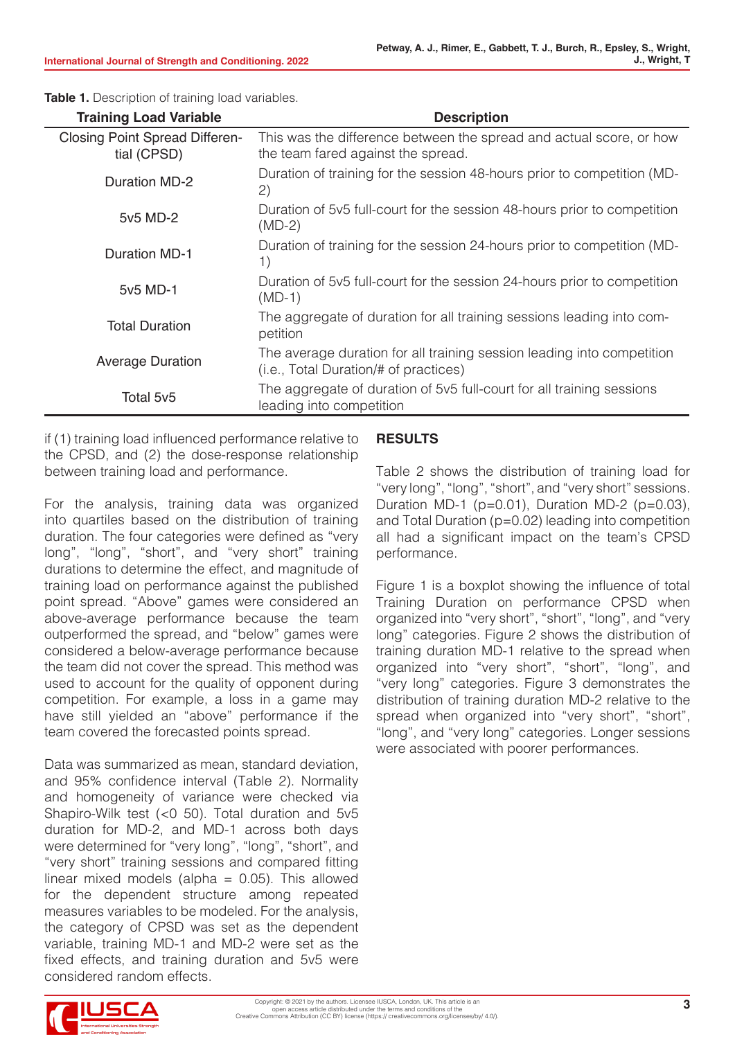| <b>Training Load Variable</b>                        | <b>Description</b>                                                                                              |  |  |  |  |
|------------------------------------------------------|-----------------------------------------------------------------------------------------------------------------|--|--|--|--|
| <b>Closing Point Spread Differen-</b><br>tial (CPSD) | This was the difference between the spread and actual score, or how<br>the team fared against the spread.       |  |  |  |  |
| <b>Duration MD-2</b>                                 | Duration of training for the session 48-hours prior to competition (MD-<br>(2)                                  |  |  |  |  |
| 5v5 MD-2                                             | Duration of 5v5 full-court for the session 48-hours prior to competition<br>$(MD-2)$                            |  |  |  |  |
| <b>Duration MD-1</b>                                 | Duration of training for the session 24-hours prior to competition (MD-<br>1)                                   |  |  |  |  |
| 5v5 MD-1                                             | Duration of 5v5 full-court for the session 24-hours prior to competition<br>$(MD-1)$                            |  |  |  |  |
| <b>Total Duration</b>                                | The aggregate of duration for all training sessions leading into com-<br>petition                               |  |  |  |  |
| <b>Average Duration</b>                              | The average duration for all training session leading into competition<br>(i.e., Total Duration/# of practices) |  |  |  |  |
| Total 5v5                                            | The aggregate of duration of 5v5 full-court for all training sessions<br>leading into competition               |  |  |  |  |

**Table 1.** Description of training load variables.

if (1) training load influenced performance relative to the CPSD, and (2) the dose-response relationship between training load and performance.

For the analysis, training data was organized into quartiles based on the distribution of training duration. The four categories were defined as "very long", "long", "short", and "very short" training durations to determine the effect, and magnitude of training load on performance against the published point spread. "Above" games were considered an above-average performance because the team outperformed the spread, and "below" games were considered a below-average performance because the team did not cover the spread. This method was used to account for the quality of opponent during competition. For example, a loss in a game may have still yielded an "above" performance if the team covered the forecasted points spread.

Data was summarized as mean, standard deviation, and 95% confidence interval (Table 2). Normality and homogeneity of variance were checked via Shapiro-Wilk test (<0 50). Total duration and 5v5 duration for MD-2, and MD-1 across both days were determined for "very long", "long", "short", and "very short" training sessions and compared fitting linear mixed models (alpha  $= 0.05$ ). This allowed for the dependent structure among repeated measures variables to be modeled. For the analysis, the category of CPSD was set as the dependent variable, training MD-1 and MD-2 were set as the fixed effects, and training duration and 5v5 were considered random effects.

#### **RESULTS**

Table 2 shows the distribution of training load for "very long", "long", "short", and "very short" sessions. Duration MD-1 ( $p=0.01$ ), Duration MD-2 ( $p=0.03$ ), and Total Duration (p=0.02) leading into competition all had a significant impact on the team's CPSD performance.

Figure 1 is a boxplot showing the influence of total Training Duration on performance CPSD when organized into "very short", "short", "long", and "very long" categories. Figure 2 shows the distribution of training duration MD-1 relative to the spread when organized into "very short", "short", "long", and "very long" categories. Figure 3 demonstrates the distribution of training duration MD-2 relative to the spread when organized into "very short", "short", "long", and "very long" categories. Longer sessions were associated with poorer performances.

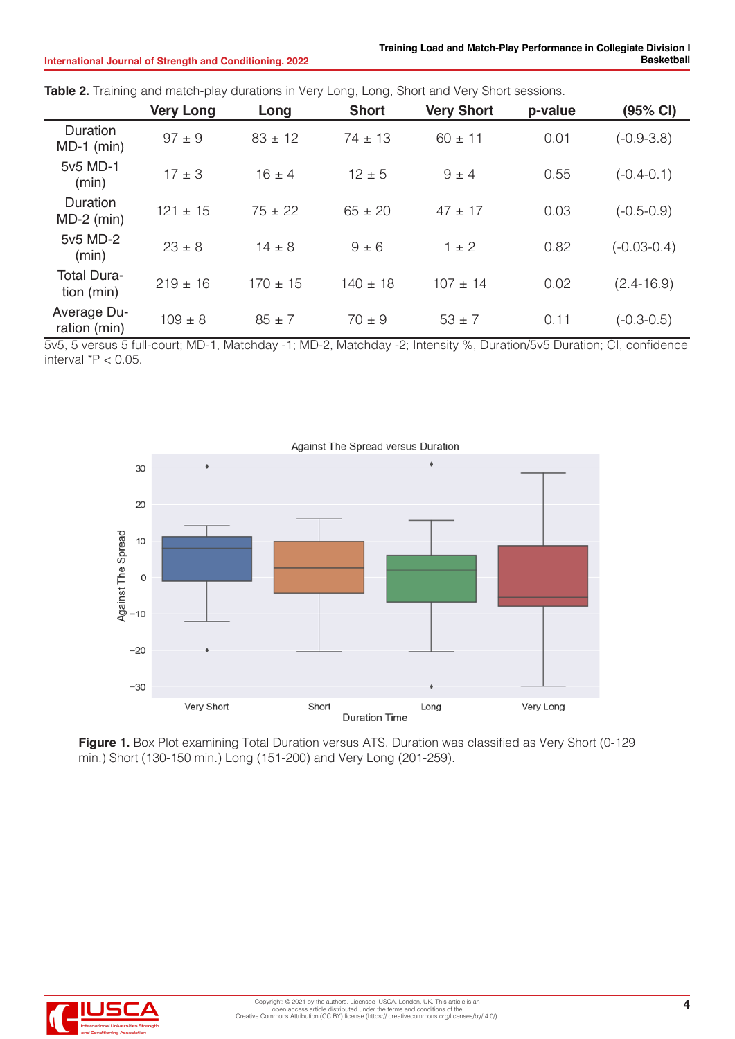|                                  | <b>Very Long</b> | Long         | <b>Short</b> | <b>Very Short</b> | p-value | (95% CI)        |
|----------------------------------|------------------|--------------|--------------|-------------------|---------|-----------------|
| Duration<br>$MD-1$ (min)         | $97 \pm 9$       | $83 \pm 12$  | $74 \pm 13$  | $60 \pm 11$       | 0.01    | $(-0.9 - 3.8)$  |
| 5v5 MD-1<br>(min)                | $17 \pm 3$       | $16 \pm 4$   | $12 \pm 5$   | $9 \pm 4$         | 0.55    | $(-0.4-0.1)$    |
| Duration<br>$MD-2$ (min)         | $121 \pm 15$     | $75 \pm 22$  | $65 \pm 20$  | $47 \pm 17$       | 0.03    | $(-0.5-0.9)$    |
| 5v5 MD-2<br>(min)                | $23 \pm 8$       | $14 \pm 8$   | $9 \pm 6$    | $1 \pm 2$         | 0.82    | $(-0.03 - 0.4)$ |
| <b>Total Dura-</b><br>tion (min) | $219 \pm 16$     | $170 \pm 15$ | $140 \pm 18$ | $107 \pm 14$      | 0.02    | $(2.4 - 16.9)$  |
| Average Du-<br>ration (min)      | $109 \pm 8$      | $85 \pm 7$   | $70 \pm 9$   | $53 \pm 7$        | 0.11    | $(-0.3 - 0.5)$  |

**Table 2.** Training and match-play durations in Very Long, Long, Short and Very Short sessions.

5v5, 5 versus 5 full-court; MD-1, Matchday -1; MD-2, Matchday -2; Intensity %, Duration/5v5 Duration; CI, confidence interval \*P < 0.05.



**Figure 1.** Box Plot examining Total Duration versus ATS. Duration was classified as Very Short (0-129 min.) Short (130-150 min.) Long (151-200) and Very Long (201-259).

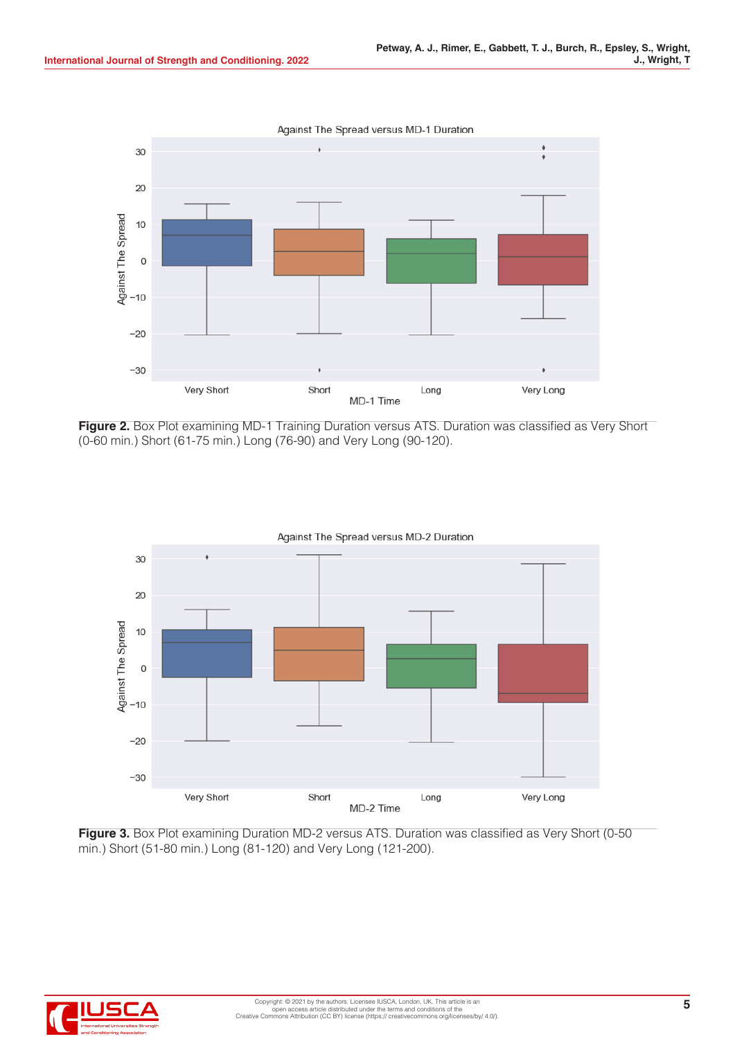Against The Spread versus MD-1 Duration 30 20 Against The Spread 10  $\mathbf 0$  $-10$  $-20$  $-30$ Very Short Short Very Long Long MD-1 Time

**Figure 2.** Box Plot examining MD-1 Training Duration versus ATS. Duration was classified as Very Short (0-60 min.) Short (61-75 min.) Long (76-90) and Very Long (90-120).



**Figure 3.** Box Plot examining Duration MD-2 versus ATS. Duration was classified as Very Short (0-50) min.) Short (51-80 min.) Long (81-120) and Very Long (121-200).

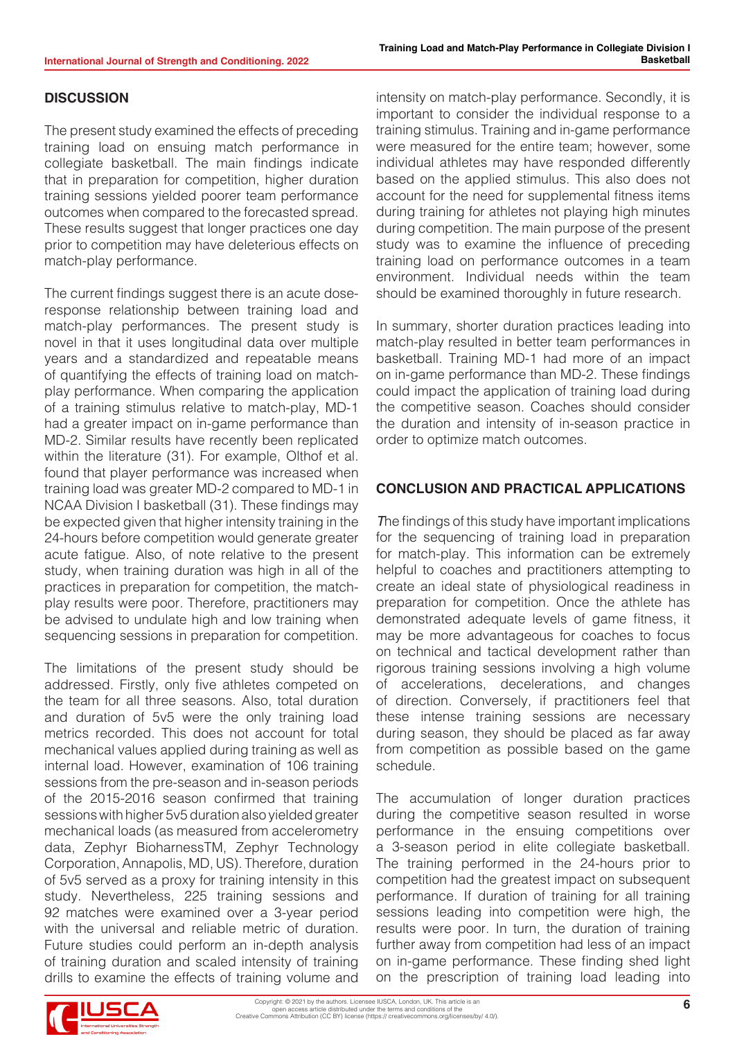### **DISCUSSION**

The present study examined the effects of preceding training load on ensuing match performance in collegiate basketball. The main findings indicate that in preparation for competition, higher duration training sessions yielded poorer team performance outcomes when compared to the forecasted spread. These results suggest that longer practices one day prior to competition may have deleterious effects on match-play performance.

The current findings suggest there is an acute doseresponse relationship between training load and match-play performances. The present study is novel in that it uses longitudinal data over multiple years and a standardized and repeatable means of quantifying the effects of training load on matchplay performance. When comparing the application of a training stimulus relative to match-play, MD-1 had a greater impact on in-game performance than MD-2. Similar results have recently been replicated within the literature (31). For example, Olthof et al. found that player performance was increased when training load was greater MD-2 compared to MD-1 in NCAA Division I basketball (31). These findings may be expected given that higher intensity training in the 24-hours before competition would generate greater acute fatigue. Also, of note relative to the present study, when training duration was high in all of the practices in preparation for competition, the matchplay results were poor. Therefore, practitioners may be advised to undulate high and low training when sequencing sessions in preparation for competition.

The limitations of the present study should be addressed. Firstly, only five athletes competed on the team for all three seasons. Also, total duration and duration of 5v5 were the only training load metrics recorded. This does not account for total mechanical values applied during training as well as internal load. However, examination of 106 training sessions from the pre-season and in-season periods of the 2015-2016 season confirmed that training sessions with higher 5v5 duration also yielded greater mechanical loads (as measured from accelerometry data, Zephyr BioharnessTM, Zephyr Technology Corporation, Annapolis, MD, US). Therefore, duration of 5v5 served as a proxy for training intensity in this study. Nevertheless, 225 training sessions and 92 matches were examined over a 3-year period with the universal and reliable metric of duration. Future studies could perform an in-depth analysis of training duration and scaled intensity of training drills to examine the effects of training volume and intensity on match-play performance. Secondly, it is important to consider the individual response to a training stimulus. Training and in-game performance were measured for the entire team; however, some individual athletes may have responded differently based on the applied stimulus. This also does not account for the need for supplemental fitness items during training for athletes not playing high minutes during competition. The main purpose of the present study was to examine the influence of preceding training load on performance outcomes in a team environment. Individual needs within the team should be examined thoroughly in future research.

In summary, shorter duration practices leading into match-play resulted in better team performances in basketball. Training MD-1 had more of an impact on in-game performance than MD-2. These findings could impact the application of training load during the competitive season. Coaches should consider the duration and intensity of in-season practice in order to optimize match outcomes.

## **CONCLUSION AND PRACTICAL APPLICATIONS**

*T*he findings of this study have important implications for the sequencing of training load in preparation for match-play. This information can be extremely helpful to coaches and practitioners attempting to create an ideal state of physiological readiness in preparation for competition. Once the athlete has demonstrated adequate levels of game fitness, it may be more advantageous for coaches to focus on technical and tactical development rather than rigorous training sessions involving a high volume of accelerations, decelerations, and changes of direction. Conversely, if practitioners feel that these intense training sessions are necessary during season, they should be placed as far away from competition as possible based on the game schedule.

The accumulation of longer duration practices during the competitive season resulted in worse performance in the ensuing competitions over a 3-season period in elite collegiate basketball. The training performed in the 24-hours prior to competition had the greatest impact on subsequent performance. If duration of training for all training sessions leading into competition were high, the results were poor. In turn, the duration of training further away from competition had less of an impact on in-game performance. These finding shed light on the prescription of training load leading into

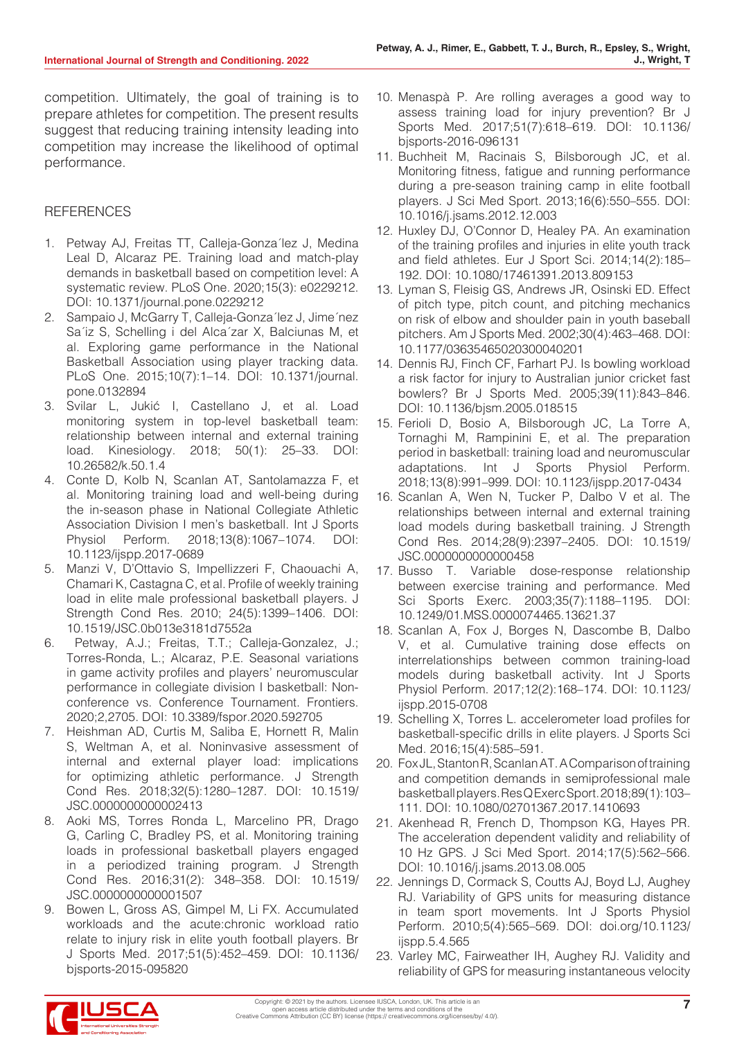competition. Ultimately, the goal of training is to prepare athletes for competition. The present results suggest that reducing training intensity leading into competition may increase the likelihood of optimal performance.

#### **REFERENCES**

- 1. Petway AJ, Freitas TT, Calleja-Gonza´lez J, Medina Leal D, Alcaraz PE. Training load and match-play demands in basketball based on competition level: A systematic review. PLoS One. 2020;15(3): e0229212. DOI: 10.1371/journal.pone.0229212
- 2. Sampaio J, McGarry T, Calleja-Gonza´lez J, Jime´nez Sa´iz S, Schelling i del Alca´zar X, Balciunas M, et al. Exploring game performance in the National Basketball Association using player tracking data. PLoS One. 2015;10(7):1–14. DOI: 10.1371/journal. pone.0132894
- 3. Svilar L, Jukić I, Castellano J, et al. Load monitoring system in top-level basketball team: relationship between internal and external training load. Kinesiology. 2018; 50(1): 25–33. DOI: 10.26582/k.50.1.4
- 4. Conte D, Kolb N, Scanlan AT, Santolamazza F, et al. Monitoring training load and well-being during the in-season phase in National Collegiate Athletic Association Division I men's basketball. Int J Sports Physiol Perform. 2018;13(8):1067–1074. DOI: 10.1123/ijspp.2017-0689
- 5. Manzi V, D'Ottavio S, Impellizzeri F, Chaouachi A, Chamari K, Castagna C, et al. Profile of weekly training load in elite male professional basketball players. J Strength Cond Res. 2010; 24(5):1399–1406. DOI: 10.1519/JSC.0b013e3181d7552a
- 6. Petway, A.J.; Freitas, T.T.; Calleja-Gonzalez, J.; Torres-Ronda, L.; Alcaraz, P.E. Seasonal variations in game activity profiles and players' neuromuscular performance in collegiate division I basketball: Nonconference vs. Conference Tournament. Frontiers. 2020;2,2705. DOI: 10.3389/fspor.2020.592705
- 7. Heishman AD, Curtis M, Saliba E, Hornett R, Malin S, Weltman A, et al. Noninvasive assessment of internal and external player load: implications for optimizing athletic performance. J Strength Cond Res. 2018;32(5):1280–1287. DOI: 10.1519/ JSC.0000000000002413
- 8. Aoki MS, Torres Ronda L, Marcelino PR, Drago G, Carling C, Bradley PS, et al. Monitoring training loads in professional basketball players engaged in a periodized training program. J Strength Cond Res. 2016;31(2): 348–358. DOI: 10.1519/ JSC.0000000000001507
- 9. Bowen L, Gross AS, Gimpel M, Li FX. Accumulated workloads and the acute:chronic workload ratio relate to injury risk in elite youth football players. Br J Sports Med. 2017;51(5):452–459. DOI: 10.1136/ bjsports-2015-095820
- 10. Menaspà P. Are rolling averages a good way to assess training load for injury prevention? Br J Sports Med. 2017;51(7):618–619. DOI: 10.1136/ bjsports-2016-096131
- 11. Buchheit M, Racinais S, Bilsborough JC, et al. Monitoring fitness, fatigue and running performance during a pre-season training camp in elite football players. J Sci Med Sport. 2013;16(6):550–555. DOI: 10.1016/j.jsams.2012.12.003
- 12. Huxley DJ, O'Connor D, Healey PA. An examination of the training profiles and injuries in elite youth track and field athletes. Eur J Sport Sci. 2014;14(2):185– 192. DOI: 10.1080/17461391.2013.809153
- 13. Lyman S, Fleisig GS, Andrews JR, Osinski ED. Effect of pitch type, pitch count, and pitching mechanics on risk of elbow and shoulder pain in youth baseball pitchers. Am J Sports Med. 2002;30(4):463–468. DOI: 10.1177/03635465020300040201
- 14. Dennis RJ, Finch CF, Farhart PJ. Is bowling workload a risk factor for injury to Australian junior cricket fast bowlers? Br J Sports Med. 2005;39(11):843–846. DOI: 10.1136/bjsm.2005.018515
- 15. Ferioli D, Bosio A, Bilsborough JC, La Torre A, Tornaghi M, Rampinini E, et al. The preparation period in basketball: training load and neuromuscular adaptations. Int J Sports Physiol Perform. 2018;13(8):991–999. DOI: 10.1123/ijspp.2017-0434
- 16. Scanlan A, Wen N, Tucker P, Dalbo V et al. The relationships between internal and external training load models during basketball training. J Strength Cond Res. 2014;28(9):2397–2405. DOI: 10.1519/ JSC.0000000000000458
- 17. Busso T. Variable dose-response relationship between exercise training and performance. Med Sci Sports Exerc. 2003;35(7):1188–1195. DOI: 10.1249/01.MSS.0000074465.13621.37
- 18. Scanlan A, Fox J, Borges N, Dascombe B, Dalbo V, et al. Cumulative training dose effects on interrelationships between common training-load models during basketball activity. Int J Sports Physiol Perform. 2017;12(2):168–174. DOI: 10.1123/ ijspp.2015-0708
- 19. Schelling X, Torres L. accelerometer load profiles for basketball-specific drills in elite players. J Sports Sci Med. 2016;15(4):585–591.
- 20. Fox JL, Stanton R, Scanlan AT. A Comparison of training and competition demands in semiprofessional male basketball players. Res Q Exerc Sport. 2018;89(1):103– 111. DOI: 10.1080/02701367.2017.1410693
- 21. Akenhead R, French D, Thompson KG, Hayes PR. The acceleration dependent validity and reliability of 10 Hz GPS. J Sci Med Sport. 2014;17(5):562–566. DOI: 10.1016/j.jsams.2013.08.005
- 22. Jennings D, Cormack S, Coutts AJ, Boyd LJ, Aughey RJ. Variability of GPS units for measuring distance in team sport movements. Int J Sports Physiol Perform. 2010;5(4):565–569. DOI: doi.org/10.1123/ ijspp.5.4.565
- 23. Varley MC, Fairweather IH, Aughey RJ. Validity and reliability of GPS for measuring instantaneous velocity